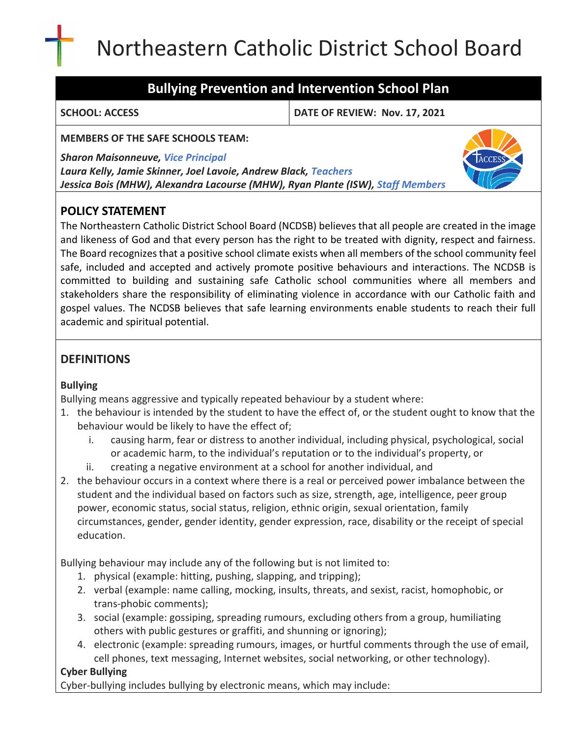# Northeastern Catholic District School Board

# **Bullying Prevention and Intervention School Plan**

**SCHOOL: ACCESS DATE OF REVIEW: Nov. 17, 2021**

**MEMBERS OF THE SAFE SCHOOLS TEAM:**

*Sharon Maisonneuve, Vice Principal*

*Laura Kelly, Jamie Skinner, Joel Lavoie, Andrew Black, Teachers Jessica Bois (MHW), Alexandra Lacourse (MHW), Ryan Plante (ISW), Staff Members*

# **POLICY STATEMENT**

The Northeastern Catholic District School Board (NCDSB) believes that all people are created in the image and likeness of God and that every person has the right to be treated with dignity, respect and fairness. The Board recognizes that a positive school climate exists when all members of the school community feel safe, included and accepted and actively promote positive behaviours and interactions. The NCDSB is committed to building and sustaining safe Catholic school communities where all members and stakeholders share the responsibility of eliminating violence in accordance with our Catholic faith and gospel values. The NCDSB believes that safe learning environments enable students to reach their full academic and spiritual potential.

# **DEFINITIONS**

### **Bullying**

Bullying means aggressive and typically repeated behaviour by a student where:

- 1. the behaviour is intended by the student to have the effect of, or the student ought to know that the behaviour would be likely to have the effect of;
	- i. causing harm, fear or distress to another individual, including physical, psychological, social or academic harm, to the individual's reputation or to the individual's property, or
	- ii. creating a negative environment at a school for another individual, and
- 2. the behaviour occurs in a context where there is a real or perceived power imbalance between the student and the individual based on factors such as size, strength, age, intelligence, peer group power, economic status, social status, religion, ethnic origin, sexual orientation, family circumstances, gender, gender identity, gender expression, race, disability or the receipt of special education.

Bullying behaviour may include any of the following but is not limited to:

- 1. physical (example: hitting, pushing, slapping, and tripping);
- 2. verbal (example: name calling, mocking, insults, threats, and sexist, racist, homophobic, or trans‐phobic comments);
- 3. social (example: gossiping, spreading rumours, excluding others from a group, humiliating others with public gestures or graffiti, and shunning or ignoring);
- 4. electronic (example: spreading rumours, images, or hurtful comments through the use of email, cell phones, text messaging, Internet websites, social networking, or other technology).

### **Cyber Bullying**

Cyber‐bullying includes bullying by electronic means, which may include: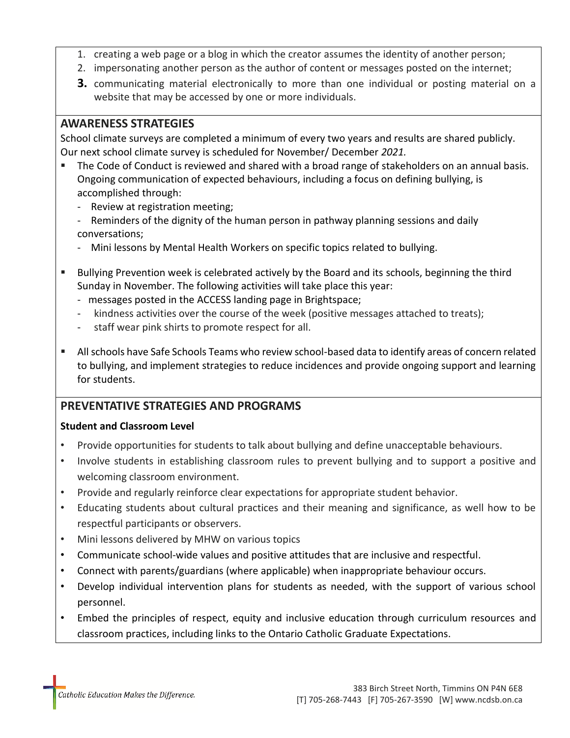- 1. creating a web page or a blog in which the creator assumes the identity of another person;
- 2. impersonating another person as the author of content or messages posted on the internet;
- **3.** communicating material electronically to more than one individual or posting material on a website that may be accessed by one or more individuals.

## **AWARENESS STRATEGIES**

School climate surveys are completed a minimum of every two years and results are shared publicly. Our next school climate survey is scheduled for November/ December *2021.*

- The Code of Conduct is reviewed and shared with a broad range of stakeholders on an annual basis. Ongoing communication of expected behaviours, including a focus on defining bullying, is accomplished through:
	- Review at registration meeting;
	- Reminders of the dignity of the human person in pathway planning sessions and daily conversations;
	- Mini lessons by Mental Health Workers on specific topics related to bullying.
- Bullying Prevention week is celebrated actively by the Board and its schools, beginning the third Sunday in November. The following activities will take place this year:
	- messages posted in the ACCESS landing page in Brightspace;
	- kindness activities over the course of the week (positive messages attached to treats);
	- staff wear pink shirts to promote respect for all.
- All schools have Safe Schools Teams who review school-based data to identify areas of concern related to bullying, and implement strategies to reduce incidences and provide ongoing support and learning for students.

# **PREVENTATIVE STRATEGIES AND PROGRAMS**

#### **Student and Classroom Level**

- Provide opportunities for students to talk about bullying and define unacceptable behaviours.
- Involve students in establishing classroom rules to prevent bullying and to support a positive and welcoming classroom environment.
- Provide and regularly reinforce clear expectations for appropriate student behavior.
- Educating students about cultural practices and their meaning and significance, as well how to be respectful participants or observers.
- Mini lessons delivered by MHW on various topics
- Communicate school-wide values and positive attitudes that are inclusive and respectful.
- Connect with parents/guardians (where applicable) when inappropriate behaviour occurs.
- Develop individual intervention plans for students as needed, with the support of various school personnel.
- Embed the principles of respect, equity and inclusive education through curriculum resources and classroom practices, including links to the Ontario Catholic Graduate Expectations.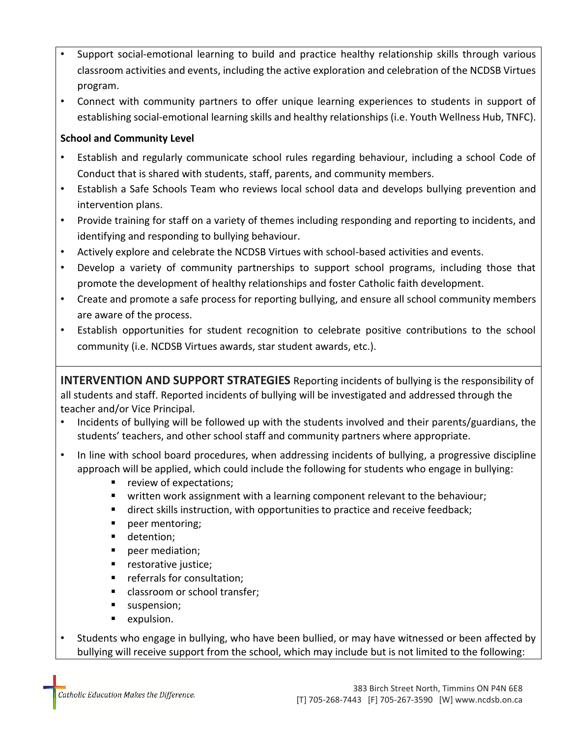- Support social-emotional learning to build and practice healthy relationship skills through various classroom activities and events, including the active exploration and celebration of the NCDSB Virtues program.
- Connect with community partners to offer unique learning experiences to students in support of establishing social-emotional learning skills and healthy relationships (i.e. Youth Wellness Hub, TNFC).

#### **School and Community Level**

- Establish and regularly communicate school rules regarding behaviour, including a school Code of Conduct that is shared with students, staff, parents, and community members.
- Establish a Safe Schools Team who reviews local school data and develops bullying prevention and intervention plans.
- Provide training for staff on a variety of themes including responding and reporting to incidents, and identifying and responding to bullying behaviour.
- Actively explore and celebrate the NCDSB Virtues with school-based activities and events.
- Develop a variety of community partnerships to support school programs, including those that promote the development of healthy relationships and foster Catholic faith development.
- Create and promote a safe process for reporting bullying, and ensure all school community members are aware of the process.
- Establish opportunities for student recognition to celebrate positive contributions to the school community (i.e. NCDSB Virtues awards, star student awards, etc.).

**INTERVENTION AND SUPPORT STRATEGIES** Reporting incidents of bullying is the responsibility of all students and staff. Reported incidents of bullying will be investigated and addressed through the teacher and/or Vice Principal.

- Incidents of bullying will be followed up with the students involved and their parents/guardians, the students' teachers, and other school staff and community partners where appropriate.
- In line with school board procedures, when addressing incidents of bullying, a progressive discipline approach will be applied, which could include the following for students who engage in bullying:
	- review of expectations;
	- written work assignment with a learning component relevant to the behaviour;
	- direct skills instruction, with opportunities to practice and receive feedback;
	- peer mentoring;
	- detention;
	- peer mediation;
	- restorative justice;
	- referrals for consultation;
	- classroom or school transfer;
	- suspension;
	- expulsion.
- Students who engage in bullying, who have been bullied, or may have witnessed or been affected by bullying will receive support from the school, which may include but is not limited to the following: